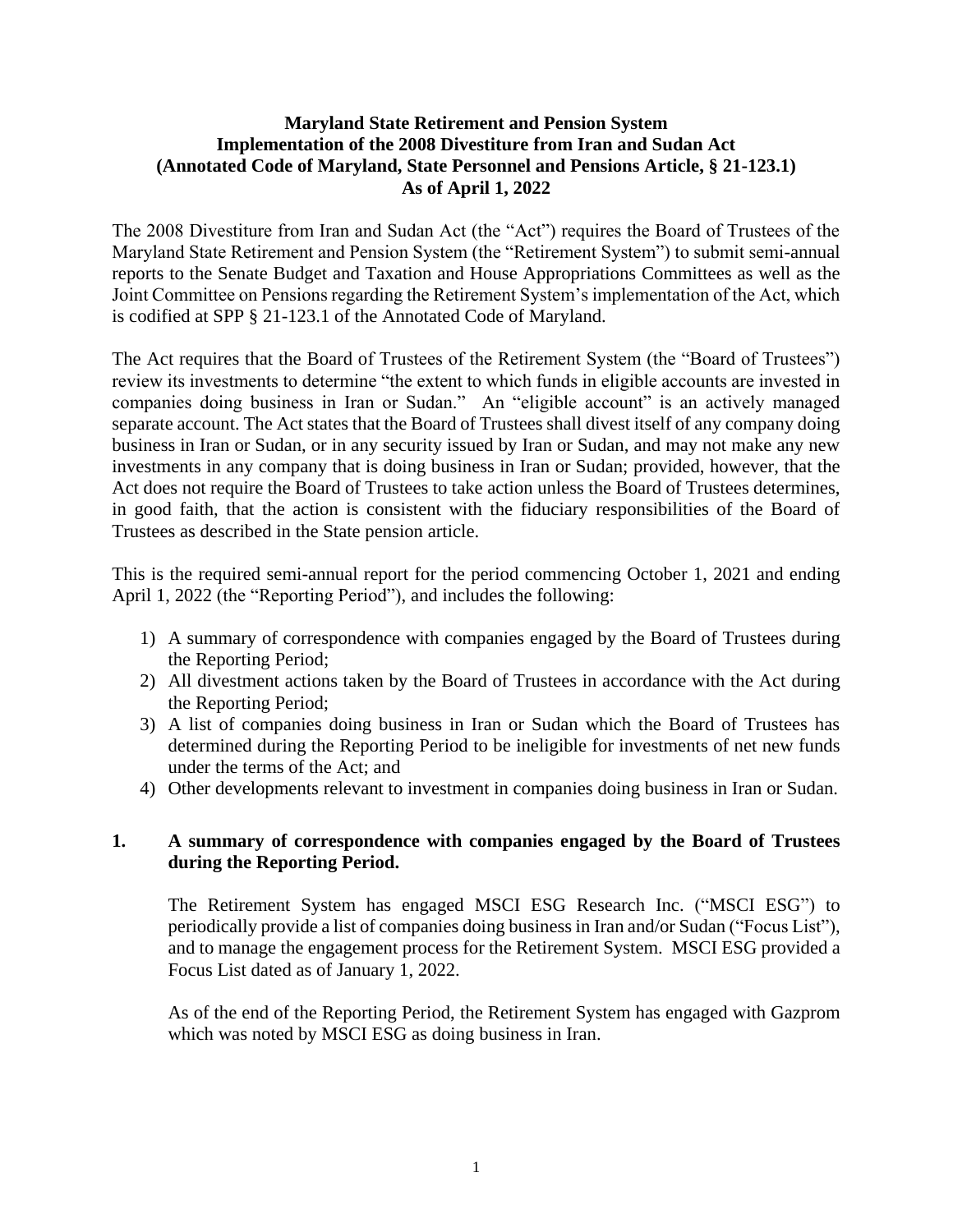### **Maryland State Retirement and Pension System Implementation of the 2008 Divestiture from Iran and Sudan Act (Annotated Code of Maryland, State Personnel and Pensions Article, § 21-123.1) As of April 1, 2022**

The 2008 Divestiture from Iran and Sudan Act (the "Act") requires the Board of Trustees of the Maryland State Retirement and Pension System (the "Retirement System") to submit semi-annual reports to the Senate Budget and Taxation and House Appropriations Committees as well as the Joint Committee on Pensions regarding the Retirement System's implementation of the Act, which is codified at SPP § 21-123.1 of the Annotated Code of Maryland.

The Act requires that the Board of Trustees of the Retirement System (the "Board of Trustees") review its investments to determine "the extent to which funds in eligible accounts are invested in companies doing business in Iran or Sudan." An "eligible account" is an actively managed separate account. The Act states that the Board of Trustees shall divest itself of any company doing business in Iran or Sudan, or in any security issued by Iran or Sudan, and may not make any new investments in any company that is doing business in Iran or Sudan; provided, however, that the Act does not require the Board of Trustees to take action unless the Board of Trustees determines, in good faith, that the action is consistent with the fiduciary responsibilities of the Board of Trustees as described in the State pension article.

This is the required semi-annual report for the period commencing October 1, 2021 and ending April 1, 2022 (the "Reporting Period"), and includes the following:

- 1) A summary of correspondence with companies engaged by the Board of Trustees during the Reporting Period;
- 2) All divestment actions taken by the Board of Trustees in accordance with the Act during the Reporting Period;
- 3) A list of companies doing business in Iran or Sudan which the Board of Trustees has determined during the Reporting Period to be ineligible for investments of net new funds under the terms of the Act; and
- 4) Other developments relevant to investment in companies doing business in Iran or Sudan.

# **1. A summary of correspondence with companies engaged by the Board of Trustees during the Reporting Period.**

The Retirement System has engaged MSCI ESG Research Inc. ("MSCI ESG") to periodically provide a list of companies doing business in Iran and/or Sudan ("Focus List"), and to manage the engagement process for the Retirement System. MSCI ESG provided a Focus List dated as of January 1, 2022.

As of the end of the Reporting Period, the Retirement System has engaged with Gazprom which was noted by MSCI ESG as doing business in Iran.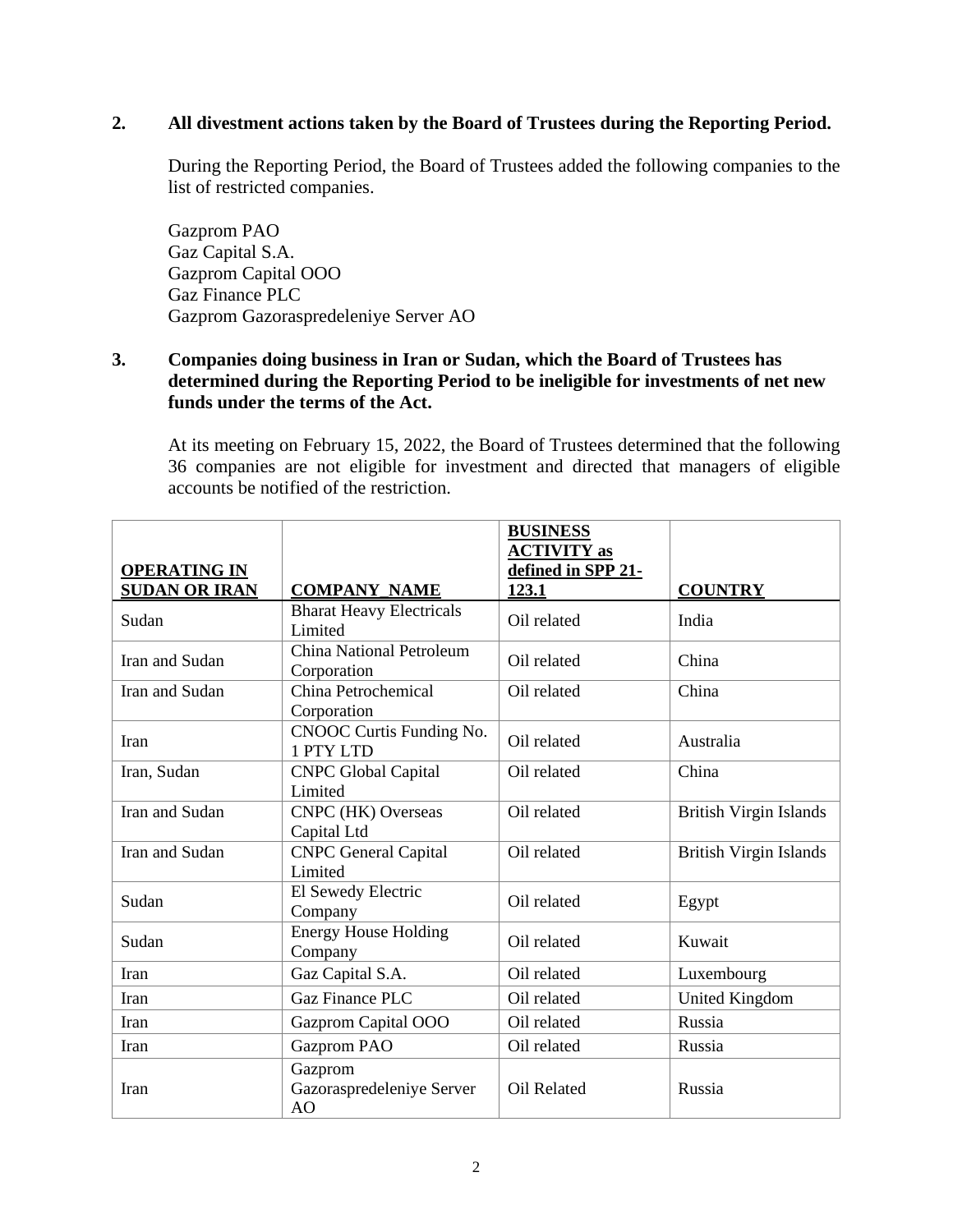# **2. All divestment actions taken by the Board of Trustees during the Reporting Period.**

During the Reporting Period, the Board of Trustees added the following companies to the list of restricted companies.

Gazprom PAO Gaz Capital S.A. Gazprom Capital OOO Gaz Finance PLC Gazprom Gazoraspredeleniye Server AO

### **3. Companies doing business in Iran or Sudan, which the Board of Trustees has determined during the Reporting Period to be ineligible for investments of net new funds under the terms of the Act.**

At its meeting on February 15, 2022, the Board of Trustees determined that the following 36 companies are not eligible for investment and directed that managers of eligible accounts be notified of the restriction.

| <b>OPERATING IN</b>  |                                            | <b>BUSINESS</b><br><b>ACTIVITY</b> as<br>defined in SPP 21- |                               |
|----------------------|--------------------------------------------|-------------------------------------------------------------|-------------------------------|
| <b>SUDAN OR IRAN</b> | <b>COMPANY_NAME</b>                        | 123.1                                                       | <b>COUNTRY</b>                |
| Sudan                | <b>Bharat Heavy Electricals</b><br>Limited | Oil related                                                 | India                         |
| Iran and Sudan       | China National Petroleum<br>Corporation    | Oil related                                                 | China                         |
| Iran and Sudan       | China Petrochemical<br>Corporation         | Oil related                                                 | China                         |
| Iran                 | CNOOC Curtis Funding No.<br>1 PTY LTD      | Oil related                                                 | Australia                     |
| Iran, Sudan          | <b>CNPC Global Capital</b><br>Limited      | Oil related                                                 | China                         |
| Iran and Sudan       | CNPC (HK) Overseas<br>Capital Ltd          | Oil related                                                 | <b>British Virgin Islands</b> |
| Iran and Sudan       | <b>CNPC</b> General Capital<br>Limited     | Oil related                                                 | <b>British Virgin Islands</b> |
| Sudan                | El Sewedy Electric<br>Company              | Oil related                                                 | Egypt                         |
| Sudan                | <b>Energy House Holding</b><br>Company     | Oil related                                                 | Kuwait                        |
| Iran                 | Gaz Capital S.A.                           | Oil related                                                 | Luxembourg                    |
| Iran                 | <b>Gaz Finance PLC</b>                     | Oil related                                                 | <b>United Kingdom</b>         |
| Iran                 | Gazprom Capital OOO                        | Oil related                                                 | Russia                        |
| Iran                 | Gazprom PAO                                | Oil related                                                 | Russia                        |
| Iran                 | Gazprom<br>Gazoraspredeleniye Server<br>AO | <b>Oil Related</b>                                          | Russia                        |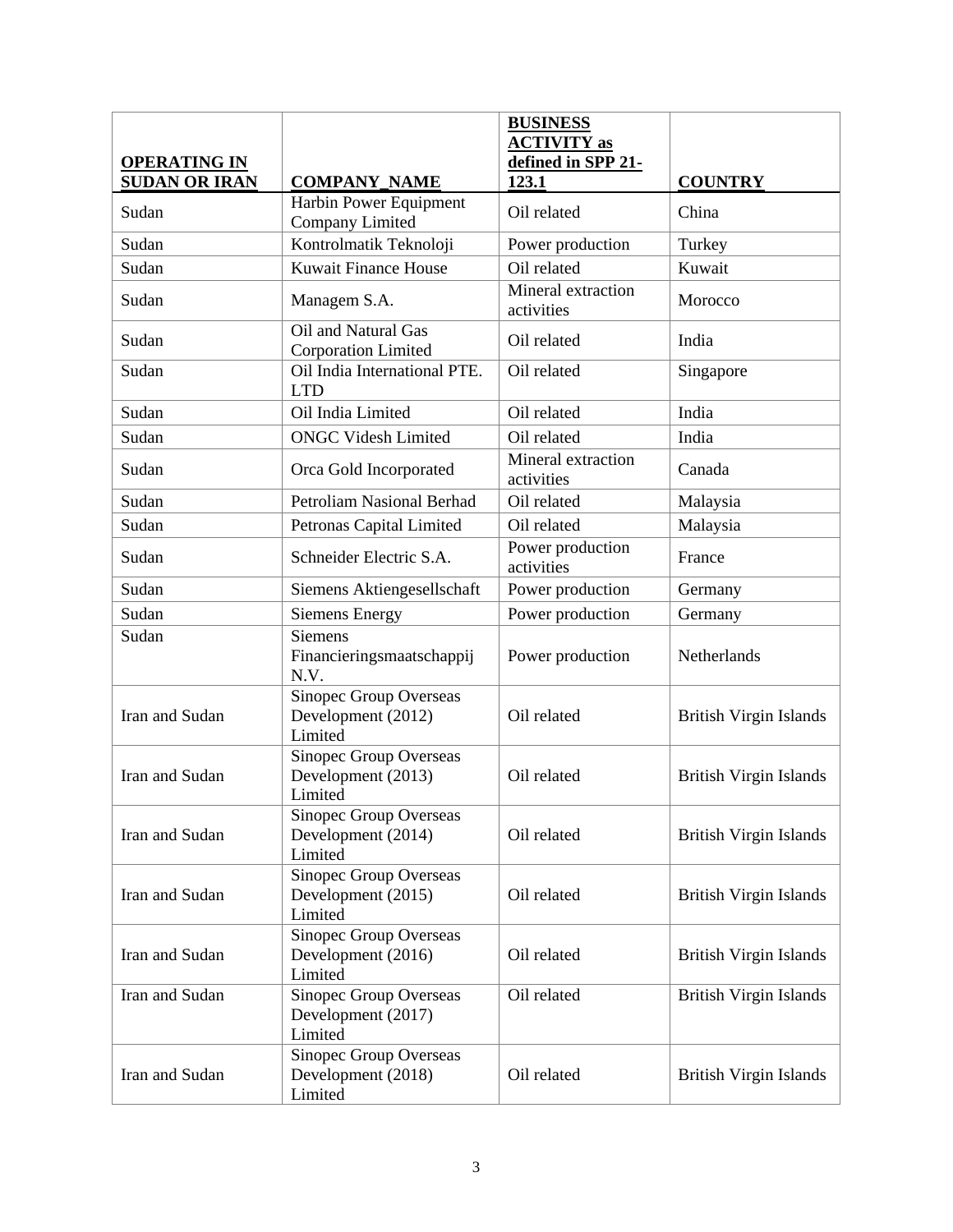| <b>OPERATING IN</b>  |                                                         | <b>BUSINESS</b><br><b>ACTIVITY as</b><br>defined in SPP 21- |                               |
|----------------------|---------------------------------------------------------|-------------------------------------------------------------|-------------------------------|
| <b>SUDAN OR IRAN</b> | <b>COMPANY_NAME</b>                                     | 123.1                                                       | <b>COUNTRY</b>                |
| Sudan                | Harbin Power Equipment<br>Company Limited               | Oil related                                                 | China                         |
| Sudan                | Kontrolmatik Teknoloji                                  | Power production                                            | Turkey                        |
| Sudan                | <b>Kuwait Finance House</b>                             | Oil related                                                 | Kuwait                        |
| Sudan                | Managem S.A.                                            | Mineral extraction<br>activities                            | Morocco                       |
| Sudan                | Oil and Natural Gas<br><b>Corporation Limited</b>       | Oil related                                                 | India                         |
| Sudan                | Oil India International PTE.<br><b>LTD</b>              | Oil related                                                 | Singapore                     |
| Sudan                | Oil India Limited                                       | Oil related                                                 | India                         |
| Sudan                | <b>ONGC Videsh Limited</b>                              | Oil related                                                 | India                         |
| Sudan                | Orca Gold Incorporated                                  | Mineral extraction<br>activities                            | Canada                        |
| Sudan                | <b>Petroliam Nasional Berhad</b>                        | Oil related                                                 | Malaysia                      |
| Sudan                | Petronas Capital Limited                                | Oil related                                                 | Malaysia                      |
| Sudan                | Schneider Electric S.A.                                 | Power production<br>activities                              | France                        |
| Sudan                | Siemens Aktiengesellschaft                              | Power production                                            | Germany                       |
| Sudan                | <b>Siemens Energy</b>                                   | Power production                                            | Germany                       |
| Sudan                | <b>Siemens</b><br>Financieringsmaatschappij<br>N.V.     | Power production                                            | Netherlands                   |
| Iran and Sudan       | Sinopec Group Overseas<br>Development (2012)<br>Limited | Oil related                                                 | <b>British Virgin Islands</b> |
| Iran and Sudan       | Sinopec Group Overseas<br>Development (2013)<br>Limited | Oil related                                                 | <b>British Virgin Islands</b> |
| Iran and Sudan       | Sinopec Group Overseas<br>Development (2014)<br>Limited | Oil related                                                 | <b>British Virgin Islands</b> |
| Iran and Sudan       | Sinopec Group Overseas<br>Development (2015)<br>Limited | Oil related                                                 | <b>British Virgin Islands</b> |
| Iran and Sudan       | Sinopec Group Overseas<br>Development (2016)<br>Limited | Oil related                                                 | <b>British Virgin Islands</b> |
| Iran and Sudan       | Sinopec Group Overseas<br>Development (2017)<br>Limited | Oil related                                                 | <b>British Virgin Islands</b> |
| Iran and Sudan       | Sinopec Group Overseas<br>Development (2018)<br>Limited | Oil related                                                 | <b>British Virgin Islands</b> |